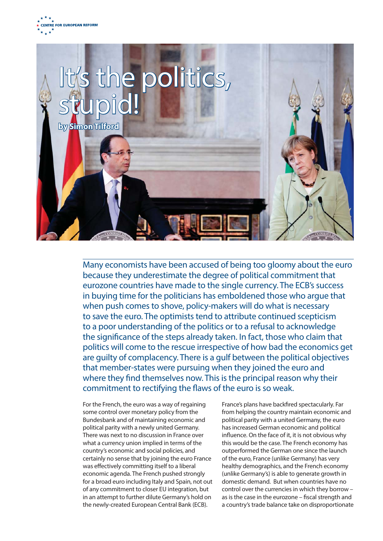



Many economists have been accused of being too gloomy about the euro because they underestimate the degree of political commitment that eurozone countries have made to the single currency. The ECB's success in buying time for the politicians has emboldened those who argue that when push comes to shove, policy-makers will do what is necessary to save the euro. The optimists tend to attribute continued scepticism to a poor understanding of the politics or to a refusal to acknowledge the significance of the steps already taken. In fact, those who claim that politics will come to the rescue irrespective of how bad the economics get are guilty of complacency. There is a gulf between the political objectives that member-states were pursuing when they joined the euro and where they find themselves now. This is the principal reason why their commitment to rectifying the flaws of the euro is so weak.

For the French, the euro was a way of regaining some control over monetary policy from the Bundesbank and of maintaining economic and political parity with a newly united Germany. There was next to no discussion in France over what a currency union implied in terms of the country's economic and social policies, and certainly no sense that by joining the euro France was effectively committing itself to a liberal economic agenda. The French pushed strongly for a broad euro including Italy and Spain, not out of any commitment to closer EU integration, but in an attempt to further dilute Germany's hold on the newly-created European Central Bank (ECB).

France's plans have backfired spectacularly. Far from helping the country maintain economic and political parity with a united Germany, the euro has increased German economic and political influence. On the face of it, it is not obvious why this would be the case. The French economy has outperformed the German one since the launch of the euro, France (unlike Germany) has very healthy demographics, and the French economy (unlike Germany's) is able to generate growth in domestic demand. But when countries have no control over the currencies in which they borrow – as is the case in the eurozone – fiscal strength and a country's trade balance take on disproportionate